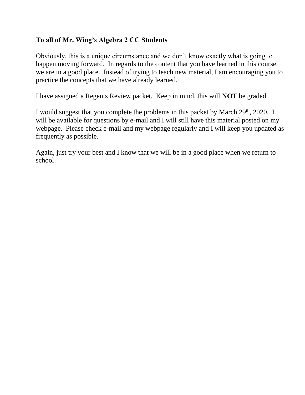## **To all of Mr. Wing's Algebra 2 CC Students**

Obviously, this is a unique circumstance and we don't know exactly what is going to happen moving forward. In regards to the content that you have learned in this course, we are in a good place. Instead of trying to teach new material, I am encouraging you to practice the concepts that we have already learned.

I have assigned a Regents Review packet. Keep in mind, this will **NOT** be graded.

I would suggest that you complete the problems in this packet by March  $29<sup>th</sup>$ ,  $2020$ . I will be available for questions by e-mail and I will still have this material posted on my webpage. Please check e-mail and my webpage regularly and I will keep you updated as frequently as possible.

Again, just try your best and I know that we will be in a good place when we return to school.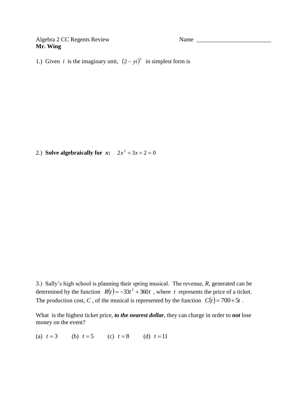**Mr. Wing**

Algebra 2 CC Regents Review Name

1.) Given *i* is the imaginary unit,  $(2 - yi)^2$  in simplest form is

2.) **Solve algebraically for**  $x$ **:**  $2x^2 + 3x + 2 = 0$ 

3.) Sally's high school is planning their spring musical. The revenue, *R*, generated can be determined by the function  $R(t) = -33t^2 + 360t$ , where *t* represents the price of a ticket. The production cost, *C*, of the musical is represented by the function  $C(t) = 700 + 5t$ .

What is the highest ticket price, *to the nearest dollar*, they can charge in order to *not* lose money on the event?

(a)  $t = 3$ (b)  $t = 5$  (c)  $t = 8$  (d)  $t = 11$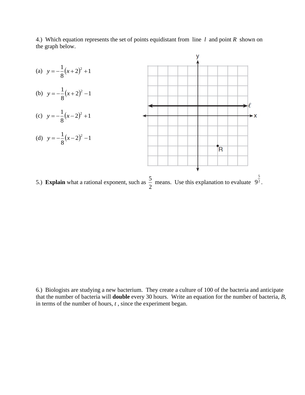

4.) Which equation represents the set of points equidistant from line *l* and point *R* shown on the graph below.

6.) Biologists are studying a new bacterium. They create a culture of 100 of the bacteria and anticipate that the number of bacteria will **double** every 30 hours. Write an equation for the number of bacteria, *B*, in terms of the number of hours, *t* , since the experiment began.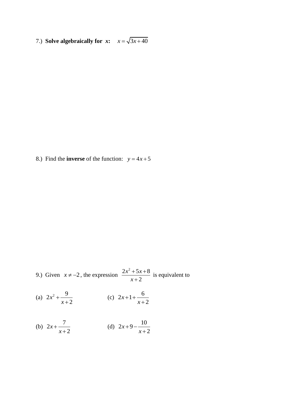7.) **Solve algebraically for**  $x$ **:**  $x = \sqrt{3x+40}$ 

8.) Find the **inverse** of the function:  $y = 4x + 5$ 

9.) Given 
$$
x \neq -2
$$
, the expression 
$$
\frac{2x^2 + 5x + 8}{x + 2}
$$
 is equivalent to

(a) 
$$
2x^2 + \frac{9}{x+2}
$$
 (c)  $2x+1+\frac{6}{x+2}$ 

(b) 
$$
2x + \frac{7}{x+2}
$$
 (d)  $2x+9-\frac{10}{x+2}$